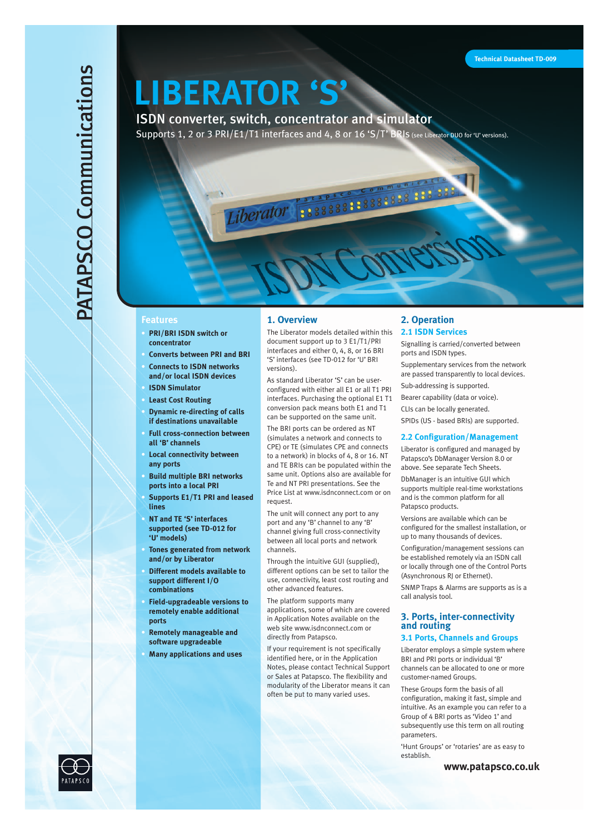# **PATAPSCO Communications** PATAPSCO Communications

# **LIBERATOR 'S'**

iberator

ISDN converter, switch, concentrator and simulator Supports 1, 2 or 3 PRI/E1/T1 interfaces and 4, 8 or 16 'S/T' BRIS (see Liberator DUO for 'U' versions).

# **Features**

- **• PRI/BRI ISDN switch or concentrator**
- **• Converts between PRI and BRI**
	- **• Connects to ISDN networks and/or local ISDN devices**
- **• ISDN Simulator**
- 
- **• Least Cost Routing • Dynamic re-directing of calls if destinations unavailable**
- **• Full cross-connection between all 'B' channels**
- **• Local connectivity between any ports**
- **• Build multiple BRI networks ports into a local PRI**
- **• Supports E1/T1 PRI and leased lines**
- **• NT and TE 'S' interfaces supported (see TD-012 for 'U' models)**
- **• Tones generated from network and/or by Liberator**
- **• Different models available to support different I/O combinations**
- **• Field-upgradeable versions to remotely enable additional ports**
- **• Remotely manageable and software upgradeable**
- **• Many applications and uses**

# **1. Overview**

The Liberator models detailed within this document support up to 3 E1/T1/PRI interfaces and either 0, 4, 8, or 16 BRI 'S' interfaces (see TD-012 for 'U' BRI versions).

As standard Liberator 'S' can be userconfigured with either all E1 or all T1 PRI interfaces. Purchasing the optional E1 T1 conversion pack means both E1 and T1 can be supported on the same unit.

The BRI ports can be ordered as NT (simulates a network and connects to CPE) or TE (simulates CPE and connects to a network) in blocks of 4, 8 or 16. NT and TE BRIs can be populated within the same unit. Options also are available for Te and NT PRI presentations. See the Price List at www.isdnconnect.com or on request.

The unit will connect any port to any port and any 'B' channel to any 'B' channel giving full cross-connectivity between all local ports and network channels.

Through the intuitive GUI (supplied), different options can be set to tailor the use, connectivity, least cost routing and other advanced features.

The platform supports many applications, some of which are covered in Application Notes available on the web site www.isdnconnect.com or directly from Patapsco.

If your requirement is not specifically identified here, or in the Application Notes, please contact Technical Support or Sales at Patapsco. The flexibility and modularity of the Liberator means it can often be put to many varied uses.

# **2. Operation 2.1 ISDN Services**

Signalling is carried/converted between ports and ISDN types.

Supplementary services from the network are passed transparently to local devices.

Sub-addressing is supported.

Bearer capability (data or voice).

CLIs can be locally generated.

SPIDs (US - based BRIs) are supported.

# **2.2 Configuration/Management**

Liberator is configured and managed by Patapsco's DbManager Version 8.0 or above. See separate Tech Sheets.

DbManager is an intuitive GUI which supports multiple real-time workstations and is the common platform for all Patapsco products.

Versions are available which can be configured for the smallest installation, or up to many thousands of devices.

Configuration/management sessions can be established remotely via an ISDN call or locally through one of the Control Ports (Asynchronous RJ or Ethernet).

SNMP Traps & Alarms are supports as is a call analysis tool.

# **3. Ports, inter-connectivity and routing**

# **3.1 Ports, Channels and Groups**

Liberator employs a simple system where BRI and PRI ports or individual 'B' channels can be allocated to one or more customer-named Groups.

These Groups form the basis of all configuration, making it fast, simple and intuitive. As an example you can refer to a Group of 4 BRI ports as 'Video 1' and subsequently use this term on all routing parameters.

'Hunt Groups' or 'rotaries' are as easy to establish.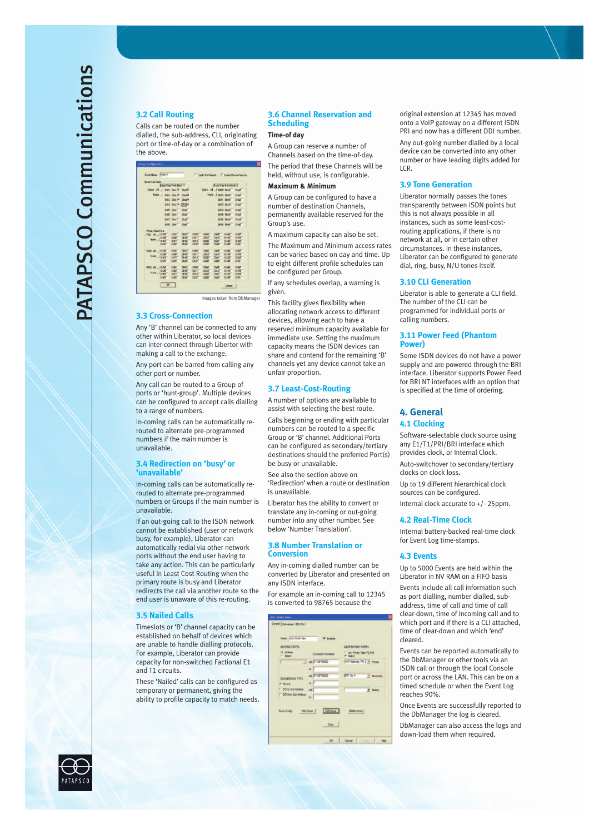# **3.2 Call Routing**

Calls can be routed on the number dialled, the sub-address, CLI, originating port or time-of-day or a combination of the above.

| Stone Name: Notro 1           |                               |                           |             |                        |                       |                                | <b>Eacle PortSeach   Eyde Channel Seach</b> |
|-------------------------------|-------------------------------|---------------------------|-------------|------------------------|-----------------------|--------------------------------|---------------------------------------------|
| <b>Basic Flate Ports</b>      |                               |                           |             |                        |                       |                                |                                             |
|                               | <b>Date Park Poll Block 1</b> |                           |             |                        |                       | <b>Easic Rare Form Elock 2</b> |                                             |
| Select #1   Didl Qual 7 Chu2P |                               |                           |             |                        | Toke 4   NO Only Over |                                |                                             |
| Now                           | <b>BBI DWIP ONE</b>           |                           |             |                        | None J burg Christ    |                                | De25                                        |
|                               | bitt that I chair             |                           |             |                        |                       | Bill Onli                      | Dv2f                                        |
|                               |                               |                           |             |                        |                       | Bill 2: Clivil 1               |                                             |
|                               | EIGE CHITIM CHICAM            |                           |             |                        |                       |                                | Dedi <sup>1</sup>                           |
|                               | <b>DOT Only</b>               | <b>Clevel</b>             |             |                        |                       | <b>BET3 Owill</b>              | <b>Credit</b>                               |
|                               | <b>Diffic Charles</b>         | <b>Check</b>              |             |                        |                       | <b>BOA OWN</b>                 | Dwall                                       |
|                               | <b>DIST. Ovill</b>            | <b>Glaub</b>              |             |                        |                       | <b>BillS Owlf</b>              | De2F                                        |
|                               | <b>BIGS DWITT</b>             | <b>Clin</b> <sup>25</sup> |             |                        |                       | <b>Bills</b> Only              | Dwift                                       |
| <b>Prémier Rate Forts</b>     |                               |                           |             |                        |                       |                                |                                             |
| Pigt at I Cyast               | CHANT                         | CH2dT                     | CHOS        | CHOAT                  | CHOST                 | <b>CVX</b>                     | <b>CHAPT</b>                                |
| DOM<br>Now 1                  | 12-28                         | <b>DAU</b>                | CHIT        | 013                    | DV13                  | D <sub>14</sub>                | <b>OVIST</b>                                |
| OW                            | <b>DAN</b>                    | DAIL                      | CHI         | CASTE                  | <b>DOT</b>            | <b>DGS</b>                     | pail                                        |
| Child                         | 0.357                         | <b>DOS!</b>               | <b>CR2T</b> | CHONE                  | <b>Clicki</b>         | 0.31                           | ひ選り                                         |
| Fig2 48 10-00                 | <b>DATE</b>                   | ment.                     | CART        | <b>CHAIR</b>           | <b>CHOPE</b>          | OVE                            | <b>DWIT</b>                                 |
| <b>DOM</b>                    | <b>DANT</b>                   | <b>DAU</b>                | CHIT        | <b>GMS<sup>T</sup></b> | пизі                  | DITAL                          | <b>OWN</b>                                  |
| Nave - Orl B                  | <b>Chapt</b>                  | <b>CHIEF</b>              | CHIS        | CHANT                  | Di2t <sup>1</sup>     | O <sub>225</sub>               | 0-23                                        |
| <b>CVNT</b>                   | <b>D21</b>                    | <b>EXON</b>               | C827        | CHOME                  | <b>CIGN</b>           | DOUG                           | <b>Dati</b>                                 |
| PKS ALL LOWER                 | <b>Dati</b>                   | <b>CHOT</b>               | <b>CMS</b>  | CHAIR.                 | CMW <sup></sup>       | OVE                            | <b>DWI</b>                                  |
| Cyber                         | <b>CHANT</b>                  | CHIEF                     | Certif      | CM 2 <sup>2</sup>      | Ch12                  | O <sub>14</sub>                | <b>Christ</b>                               |
| Name - Child                  | Child                         | <b>CHRI</b>               | Child       | <b>CHOTE</b>           | <b>LIGHT</b>          | DVZE                           | <b>DVI</b>                                  |
| Civil                         | <b>CHZST</b>                  | <b>CHOST</b>              | CkZP        | CI-29F                 | 0.29                  | 0.30                           | <b>DOLF</b>                                 |
|                               |                               |                           |             |                        |                       |                                |                                             |
|                               | OK.                           |                           |             |                        |                       | Carrel                         |                                             |

Images taken from DbManager

# **3.3 Cross-Connection**

Any 'B' channel can be connected to any other within Liberator, so local devices can inter-connect through Libertor with making a call to the exchange.

Any port can be barred from calling any other port or number.

Any call can be routed to a Group of ports or 'hunt-group'. Multiple devices can be configured to accept calls dialling to a range of numbers.

In-coming calls can be automatically rerouted to alternate pre-programmed numbers if the main number is unavailable.

# **3.4 Redirection on 'busy' or 'unavailable'**

In-coming calls can be automatically rerouted to alternate pre-programmed numbers or Groups if the main number is unavailable.

If an out-going call to the ISDN network cannot be established (user or network busy, for example), Liberator can automatically redial via other network ports without the end user having to take any action. This can be particularly useful in Least Cost Routing when the primary route is busy and Liberator redirects the call via another route so the end user is unaware of this re-routing.

#### **3.5 Nailed Calls**

Timeslots or 'B' channel capacity can be established on behalf of devices which are unable to handle dialling protocols. For example, Liberator can provide capacity for non-switched Factional E1 and T1 circuits.

These 'Nailed' calls can be configured as temporary or permanent, giving the ability to profile capacity to match needs.

# **3.6 Channel Reservation and Scheduling**

# **Time-of day**

A Group can reserve a number of Channels based on the time-of-day. The period that these Channels will be held, without use, is configurable.

#### **Maximum & Minimum**

A Group can be configured to have a number of destination Channels, permanently available reserved for the Group's use.

A maximum capacity can also be set. The Maximum and Minimum access rates can be varied based on day and time. Up to eight different profile schedules can be configured per Group.

If any schedules overlap, a warning is given.

This facility gives flexibility when allocating network access to different devices, allowing each to have a reserved minimum capacity available for immediate use. Setting the maximum capacity means the ISDN devices can share and contend for the remaining 'B' channels yet any device cannot take an unfair proportion.

# **3.7 Least-Cost-Routing**

A number of options are available to assist with selecting the best route.

Calls beginning or ending with particular numbers can be routed to a specific Group or 'B' channel. Additional Ports can be configured as secondary/tertiary destinations should the preferred Port(s) be busy or unavailable.

See also the section above on 'Redirection' when a route or destination is unavailable.

Liberator has the ability to convert or translate any in-coming or out-going number into any other number. See below 'Number Translation'.

# **3.8 Number Translation or Conversion**

Any in-coming dialled number can be converted by Liberator and presented on any ISDN interface.

For example an in-coming call to 12345 is converted to 98765 because the

| SOURCE FORTS                             |                       | <b>DESTINATION PORTS</b>                 |                             |
|------------------------------------------|-----------------------|------------------------------------------|-----------------------------|
| (K) All Ports<br><b>C. Salest</b>        | Consegn Norber        | C. Any Printey Rate TE Pot<br>(4) Salard |                             |
|                                          | - de 01428752920<br>H |                                          | VIIP Getevay FRI 2 - Panely |
| <b>CONVERSION TYPE</b><br>IF filming     | es CIAZETTZS20<br>a   | <b>ERITH 4</b>                           | · Secondary                 |
| DOI'n Sits-Atches<br>DOllern Sub Address | dd<br>id.             |                                          | $-$ Tenau                   |

original extension at 12345 has moved onto a VoIP gateway on a different ISDN PRI and now has a different DDI number. Any out-going number dialled by a local device can be converted into any other

number or have leading digits added for LCR.

# **3.9 Tone Generation**

Liberator normally passes the tones transparently between ISDN points but this is not always possible in all instances, such as some least-costrouting applications, if there is no network at all, or in certain other circumstances. In these instances, Liberator can be configured to generate dial, ring, busy, N/U tones itself.

# **3.10 CLI Generation**

Liberator is able to generate a CLI field. The number of the CLI can be programmed for individual ports or calling numbers.

# **3.11 Power Feed (Phantom Power)**

Some ISDN devices do not have a power supply and are powered through the BRI interface. Liberator supports Power Feed for BRI NT interfaces with an option that is specified at the time of ordering.

# **4. General**

# **4.1 Clocking**

Software-selectable clock source using any E1/T1/PRI/BRI interface which provides clock, or Internal Clock.

Auto-switchover to secondary/tertiary clocks on clock loss.

Up to 19 different hierarchical clock sources can be configured.

Internal clock accurate to +/- 25ppm.

# **4.2 Real-Time Clock**

Internal battery-backed real-time clock for Event Log time-stamps.

# **4.3 Events**

Up to 5000 Events are held within the Liberator in NV RAM on a FIFO basis

Events include all call information such as port dialling, number dialled, subaddress, time of call and time of call clear-down, time of incoming call and to which port and if there is a CLI attached. time of clear-down and which 'end' cleared.

Events can be reported automatically to the DbManager or other tools via an ISDN call or through the local Console port or across the LAN. This can be on a timed schedule or when the Event Log reaches 90%.

Once Events are successfully reported to the DbManager the log is cleared.

DbManager can also access the logs and down-load them when required.

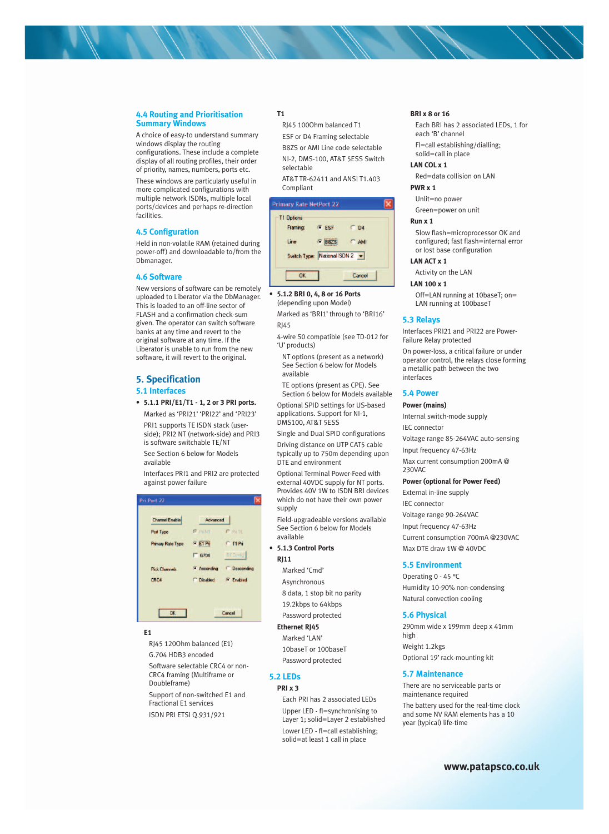# **4.4 Routing and Prioritisation Summary Windows**

A choice of easy-to understand summary windows display the routing configurations. These include a complete display of all routing profiles, their order

of priority, names, numbers, ports etc. These windows are particularly useful in more complicated configurations with multiple network ISDNs, multiple local ports/devices and perhaps re-direction facilities.

# **4.5 Configuration**

Held in non-volatile RAM (retained during power-off) and downloadable to/from the Dbmanager.

# **4.6 Software**

New versions of software can be remotely uploaded to Liberator via the DbManager. This is loaded to an off-line sector of FLASH and a confirmation check-sum given. The operator can switch software banks at any time and revert to the original software at any time. If the Liberator is unable to run from the new software, it will revert to the original.

# **5. Specification 5.1 Interfaces**

# **• 5.1.1 PRI/E1/T1 - 1, 2 or 3 PRI ports.**

Marked as 'PRI21' 'PRI22' and 'PRI23' PRI1 supports TE ISDN stack (userside); PRI2 NT (network-side) and PRI3 is software switchable TE/NT See Section 6 below for Models available

Interfaces PRI1 and PRI2 are protected against power failure

| Channel Enable       | Advanced           |                     |
|----------------------|--------------------|---------------------|
| Port Type            | <b>F</b> PANT      | $C$ Pile            |
| Primary Rate Type    | $C$ E1 Pri         | T1 Pri              |
|                      | G704               | T1 Config           |
| <b>Pick Channels</b> | <b>C</b> Ascending | <b>C</b> Descending |
| CRC4                 | C Disabled         | <b>Enabled</b>      |

# **E1**

RJ45 120Ohm balanced (E1) G.704 HDB3 encoded Software selectable CRC4 or non-CRC4 framing (Multiframe or Doubleframe)

Support of non-switched E1 and Fractional E1 services ISDN PRI ETSI Q.931/921

# **T1**

RJ45 100Ohm balanced T1 ESF or D4 Framing selectable B8ZS or AMI Line code selectable NI-2, DMS-100, AT&T 5ESS Switch selectable

AT&T TR-62411 and ANSI T1.403 Compliant

#### **Primary Rate NetPort 22**



**• 5.1.2 BRI 0, 4, 8 or 16 Ports** 

(depending upon Model) Marked as 'BRI1' through to 'BRI16' RJ45

4-wire S0 compatible (see TD-012 for 'U' products)

NT options (present as a network) See Section 6 below for Models available

TE options (present as CPE). See Section 6 below for Models available

Optional SPID settings for US-based applications. Support for NI-1, DMS100, AT&T 5ESS

Single and Dual SPID configurations Driving distance on UTP CAT5 cable typically up to 750m depending upon DTE and environment

Optional Terminal Power-Feed with external 40VDC supply for NT ports. Provides 40V 1W to ISDN BRI devices which do not have their own power supply

Field-upgradeable versions available See Section 6 below for Models available

# **• 5.1.3 Control Ports RJ11**

Marked 'Cmd' Asynchronous 8 data, 1 stop bit no parity 19.2kbps to 64kbps

Password protected

# **Ethernet RJ45**

Marked 'LAN' 10baseT or 100baseT Password protected

# **5.2 LEDs**

# **PRI x 3**

Each PRI has 2 associated LEDs Upper LED - fl=synchronising to Layer 1; solid=Layer 2 established Lower LED - fl=call establishing; solid=at least 1 call in place

# **BRI x 8 or 16**

Each BRI has 2 associated LEDs, 1 for each 'B' channel Fl=call establishing/dialling; solid=call in place

**LAN COL x 1**

# Red=data collision on LAN

**PWR x 1**

Unlit=no power

Green=power on unit

#### **Run x 1**

Slow flash=microprocessor OK and configured; fast flash=internal error or lost base configuration

**LAN ACT x 1**

#### Activity on the LAN

## **LAN 100 x 1**

Off=LAN running at 10baseT; on= LAN running at 100baseT

# **5.3 Relays**

Interfaces PRI21 and PRI22 are Power-Failure Relay protected

On power-loss, a critical failure or under operator control, the relays close forming a metallic path between the two interfaces

#### **5.4 Power**

# **Power (mains)**

Internal switch-mode supply

IEC connector

Voltage range 85-264VAC auto-sensing Input frequency 47-63Hz

Max current consumption 200mA @ 230VAC

#### **Power (optional for Power Feed)**

External in-line supply IEC connector Voltage range 90-264VAC Input frequency 47-63Hz Current consumption 700mA @230VAC Max DTE draw 1W @ 40VDC

#### **5.5 Environment**

Operating 0 - 45 °C Humidity 10-90% non-condensing Natural convection cooling

# **5.6 Physical**

290mm wide x 199mm deep x 41mm high Weight 1.2kgs Optional 19' rack-mounting kit

#### **5.7 Maintenance**

There are no serviceable parts or maintenance required

The battery used for the real-time clock and some NV RAM elements has a 10 year (typical) life-time